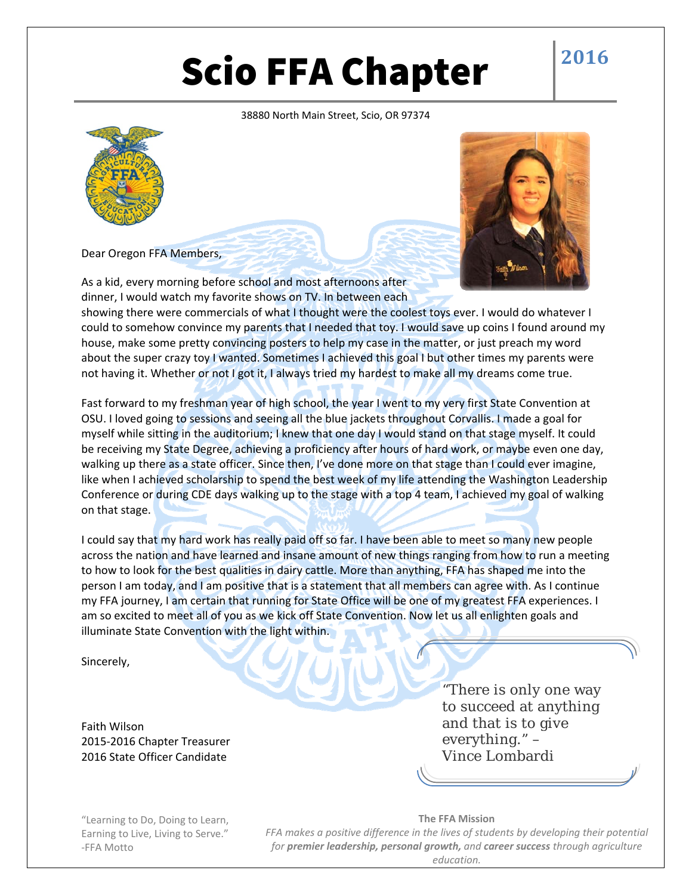# Scio FFA Chapter  $\frac{2016}{2016}$

## 38880 North Main Street, Scio, OR 97374





Dear Oregon FFA Members,

As a kid, every morning before school and most afternoons after dinner, I would watch my favorite shows on TV. In between each

showing there were commercials of what I thought were the coolest toys ever. I would do whatever I could to somehow convince my parents that I needed that toy. I would save up coins I found around my house, make some pretty convincing posters to help my case in the matter, or just preach my word about the super crazy toy I wanted. Sometimes I achieved this goal I but other times my parents were not having it. Whether or not I got it, I always tried my hardest to make all my dreams come true.

Fast forward to my freshman year of high school, the year I went to my very first State Convention at OSU. I loved going to sessions and seeing all the blue jackets throughout Corvallis. I made a goal for myself while sitting in the auditorium; I knew that one day I would stand on that stage myself. It could be receiving my State Degree, achieving a proficiency after hours of hard work, or maybe even one day, walking up there as a state officer. Since then, I've done more on that stage than I could ever imagine, like when I achieved scholarship to spend the best week of my life attending the Washington Leadership Conference or during CDE days walking up to the stage with a top 4 team, I achieved my goal of walking on that stage.

I could say that my hard work has really paid off so far. I have been able to meet so many new people across the nation and have learned and insane amount of new things ranging from how to run a meeting to how to look for the best qualities in dairy cattle. More than anything, FFA has shaped me into the person I am today, and I am positive that is a statement that all members can agree with. As I continue my FFA journey, I am certain that running for State Office will be one of my greatest FFA experiences. I am so excited to meet all of you as we kick off State Convention. Now let us all enlighten goals and illuminate State Convention with the light within.

Sincerely,

Faith Wilson 2015‐2016 Chapter Treasurer 2016 State Officer Candidate

"There is only one way to succeed at anything and that is to give everything." – Vince Lombardi

"Learning to Do, Doing to Learn, Earning to Live, Living to Serve." ‐FFA Motto

**The FFA Mission** *FFA makes a positive difference in the lives of students by developing their potential for premier leadership, personal growth, and career success through agriculture education.*